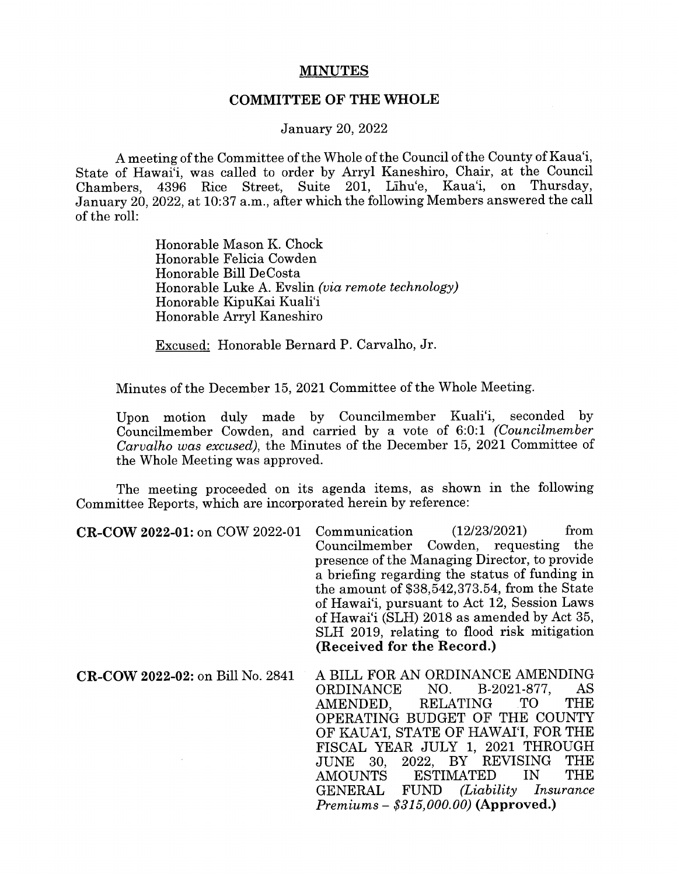## MINUTES

## COMMITTEE OF THE WHOLE

## January 20, 2022

A meeting of the Committee of the Whole of the Council of the County of Kaua'i, State of Hawai'i, was called to order by Arryl Kaneshiro, Chair, at the Council Chambers, 4396 Rice Street, Suite 201, Lihu'e, Kaua'i, on Thursday, January 20, 2022, at 10:37 a.m., after which the following Members answered the call of the roll:

> Honorable Mason K. Chock Honorable Felicia Cowden Honorable Bill DeCosta Honorable Luke A. Evslin (via remote technology) Honorable KipuKai Kuali'i Honorable Arryl Kaneshiro

Excused: Honorable Bernard P. Carvalho, Jr.

Minutes of the December 15, 2021 Committee of the Whole Meeting.

Upon motion duly made by Councilmember Kuali'i, seconded by Councilmember Cowden, and carried by a vote of 6:0:1 (Councilmember Carvaiho was excused), the Minutes of the December 15, 2021 Committee of the Whole Meeting was approved.

The meeting proceeded on its agenda items, as shown in the following Committee Reports, which are incorporated herein by reference:

CR-COW 2022-01: on COW 2022-01 Communication (12/23/2021) from Councilmember Cowden, requesting the presence of the Managing Director, to provide a briefing regarding the status of funding in the amount of \$38,542,373.54, from the State of Hawai'i, pursuant to Act 12, Session Laws of Hawai'i (SLH) 2018 as amended by Act 35, SLH 2019, relating to flood risk mitigation (Received for the Record.)

CR-COW 2022-02: on Bill No. 2841 A BILL FOR AN ORDINANCE AMENDING<br>ORDINANCE NO. B-2021-877. AS ORDINANCE NO. B-2021-877, AS<br>AMENDED. RELATING TO THE AMENDED, RELATING TO OPERATING BUDGET OF THE COUNTY OF KAUA'I, STATE OF HAWAI'I, FOR THE FISCAL YEAR JULY 1, 2021 THROUGH<br>JUNE 30 2022 BY REVISING THE JUNE 30, 2022, BY REVISING THE **ESTIMATED** GENERAL FUND (Liability Insurance  $Premiums - $315,000,00$  (Approved.)